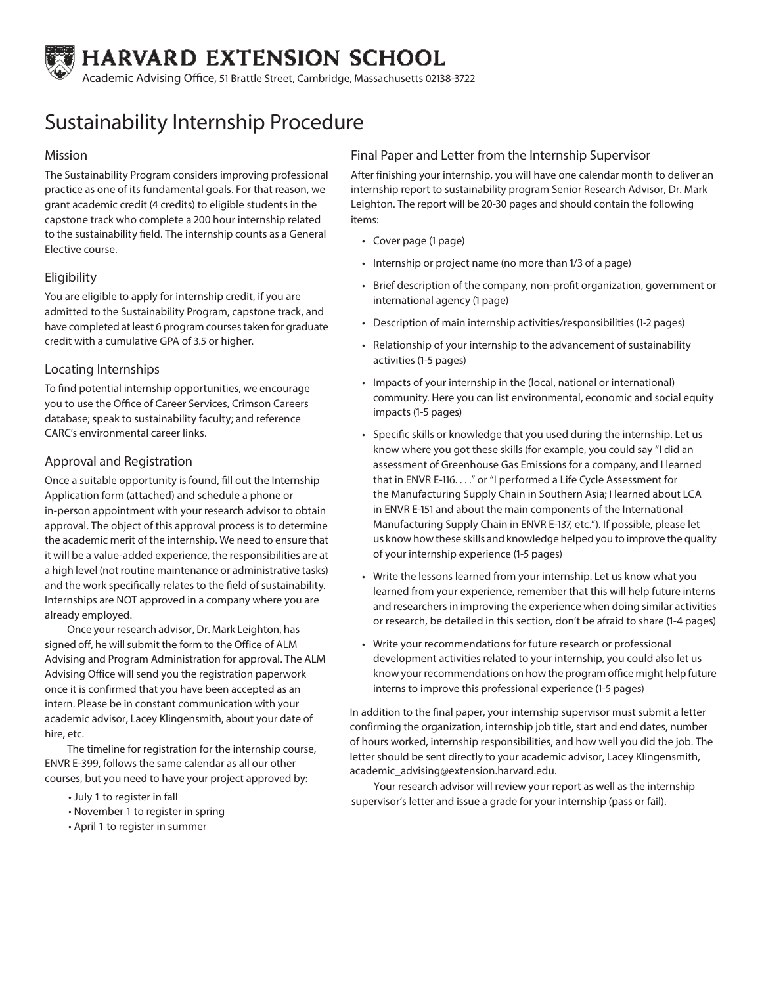

Academic Advising Office, 51 Brattle Street, Cambridge, Massachusetts 02138-3722

# Sustainability Internship Procedure

#### Mission

The Sustainability Program considers improving professional practice as one of its fundamental goals. For that reason, we grant academic credit (4 credits) to eligible students in the capstone track who complete a 200 hour internship related to the sustainability field. The internship counts as a General Elective course.

## **Eligibility**

You are eligible to apply for internship credit, if you are admitted to the Sustainability Program, capstone track, and have completed at least 6 program courses taken for graduate credit with a cumulative GPA of 3.5 or higher.

#### Locating Internships

To find potential internship opportunities, we encourage you to use the Office of Career Services, Crimson Careers database; speak to sustainability faculty; and reference CARC's environmental career links.

### Approval and Registration

Once a suitable opportunity is found, fill out the Internship Application form (attached) and schedule a phone or in-person appointment with your research advisor to obtain approval. The object of this approval process is to determine the academic merit of the internship. We need to ensure that it will be a value-added experience, the responsibilities are at a high level (not routine maintenance or administrative tasks) and the work specifically relates to the field of sustainability. Internships are NOT approved in a company where you are already employed.

Once your research advisor, Dr. Mark Leighton, has signed off, he will submit the form to the Office of ALM Advising and Program Administration for approval. The ALM Advising Office will send you the registration paperwork once it is confirmed that you have been accepted as an intern. Please be in constant communication with your academic advisor, Lacey Klingensmith, about your date of hire, etc.

The timeline for registration for the internship course, ENVR E-399, follows the same calendar as all our other courses, but you need to have your project approved by:

- July 1 to register in fall
- November 1 to register in spring
- April 1 to register in summer

#### Final Paper and Letter from the Internship Supervisor

After finishing your internship, you will have one calendar month to deliver an internship report to sustainability program Senior Research Advisor, Dr. Mark Leighton. The report will be 20-30 pages and should contain the following items:

- Cover page (1 page)
- Internship or project name (no more than 1/3 of a page)
- Brief description of the company, non-profit organization, government or international agency (1 page)
- Description of main internship activities/responsibilities (1-2 pages)
- Relationship of your internship to the advancement of sustainability activities (1-5 pages)
- Impacts of your internship in the (local, national or international) community. Here you can list environmental, economic and social equity impacts (1-5 pages)
- Specific skills or knowledge that you used during the internship. Let us know where you got these skills (for example, you could say "I did an assessment of Greenhouse Gas Emissions for a company, and I learned that in ENVR E-116. . . ." or "I performed a Life Cycle Assessment for the Manufacturing Supply Chain in Southern Asia; I learned about LCA in ENVR E-151 and about the main components of the International Manufacturing Supply Chain in ENVR E-137, etc."). If possible, please let us know how these skills and knowledge helped you to improve the quality of your internship experience (1-5 pages)
- Write the lessons learned from your internship. Let us know what you learned from your experience, remember that this will help future interns and researchers in improving the experience when doing similar activities or research, be detailed in this section, don't be afraid to share (1-4 pages)
- Write your recommendations for future research or professional development activities related to your internship, you could also let us know your recommendations on how the program office might help future interns to improve this professional experience (1-5 pages)

In addition to the final paper, your internship supervisor must submit a letter confirming the organization, internship job title, start and end dates, number of hours worked, internship responsibilities, and how well you did the job. The letter should be sent directly to your academic advisor, Lacey Klingensmith, academic\_advising@extension.harvard.edu.

Your research advisor will review your report as well as the internship supervisor's letter and issue a grade for your internship (pass or fail).